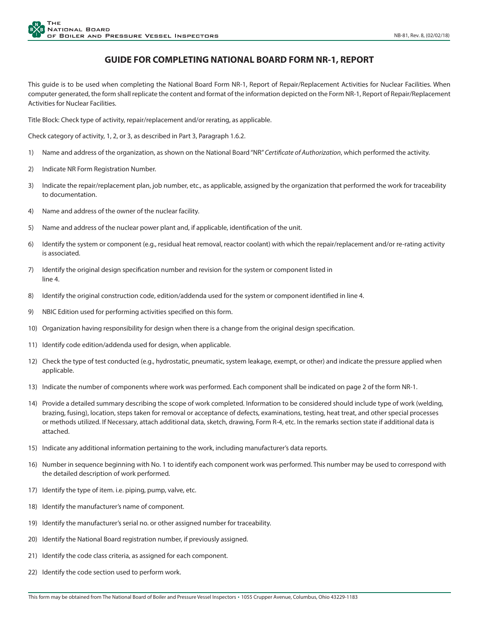## **GUIDE FOR COMPLETING NATIONAL BOARD FORM NR-1, REPORT**

This guide is to be used when completing the National Board Form NR-1, Report of Repair/Replacement Activities for Nuclear Facilities. When computer generated, the form shall replicate the content and format of the information depicted on the Form NR-1, Report of Repair/Replacement Activities for Nuclear Facilities.

Title Block: Check type of activity, repair/replacement and/or rerating, as applicable.

Check category of activity, 1, 2, or 3, as described in Part 3, Paragraph 1.6.2.

- 1) Name and address of the organization, as shown on the National Board "NR" *Certificate of Authorization*, which performed the activity.
- 2) Indicate NR Form Registration Number.
- 3) Indicate the repair/replacement plan, job number, etc., as applicable, assigned by the organization that performed the work for traceability to documentation.
- 4) Name and address of the owner of the nuclear facility.
- 5) Name and address of the nuclear power plant and, if applicable, identification of the unit.
- 6) Identify the system or component (e.g., residual heat removal, reactor coolant) with which the repair/replacement and/or re-rating activity is associated.
- 7) Identify the original design specification number and revision for the system or component listed in line 4.
- 8) Identify the original construction code, edition/addenda used for the system or component identified in line 4.
- 9) NBIC Edition used for performing activities specified on this form.
- 10) Organization having responsibility for design when there is a change from the original design specification.
- 11) Identify code edition/addenda used for design, when applicable.
- 12) Check the type of test conducted (e.g., hydrostatic, pneumatic, system leakage, exempt, or other) and indicate the pressure applied when applicable.
- 13) Indicate the number of components where work was performed. Each component shall be indicated on page 2 of the form NR-1.
- 14) Provide a detailed summary describing the scope of work completed. Information to be considered should include type of work (welding, brazing, fusing), location, steps taken for removal or acceptance of defects, examinations, testing, heat treat, and other special processes or methods utilized. If Necessary, attach additional data, sketch, drawing, Form R-4, etc. In the remarks section state if additional data is attached.
- 15) Indicate any additional information pertaining to the work, including manufacturer's data reports.
- 16) Number in sequence beginning with No. 1 to identify each component work was performed. This number may be used to correspond with the detailed description of work performed.
- 17) Identify the type of item. i.e. piping, pump, valve, etc.
- 18) Identify the manufacturer's name of component.
- 19) Identify the manufacturer's serial no. or other assigned number for traceability.
- 20) Identify the National Board registration number, if previously assigned.
- 21) Identify the code class criteria, as assigned for each component.
- 22) Identify the code section used to perform work.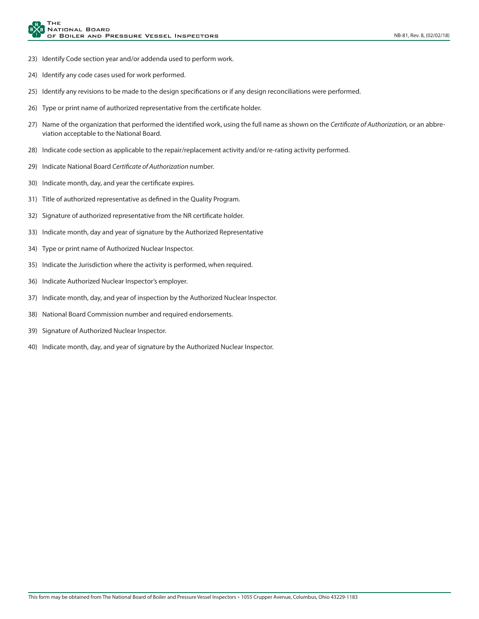- 23) Identify Code section year and/or addenda used to perform work.
- 24) Identify any code cases used for work performed.
- 25) Identify any revisions to be made to the design specifications or if any design reconciliations were performed.
- 26) Type or print name of authorized representative from the certificate holder.
- 27) Name of the organization that performed the identified work, using the full name as shown on the *Certificate of Authorization,* or an abbreviation acceptable to the National Board.
- 28) Indicate code section as applicable to the repair/replacement activity and/or re-rating activity performed.
- 29) Indicate National Board *Certificate of Authorization* number.
- 30) Indicate month, day, and year the certificate expires.
- 31) Title of authorized representative as defined in the Quality Program.
- 32) Signature of authorized representative from the NR certificate holder.
- 33) Indicate month, day and year of signature by the Authorized Representative
- 34) Type or print name of Authorized Nuclear Inspector.
- 35) Indicate the Jurisdiction where the activity is performed, when required.
- 36) Indicate Authorized Nuclear Inspector's employer.
- 37) Indicate month, day, and year of inspection by the Authorized Nuclear Inspector.
- 38) National Board Commission number and required endorsements.
- 39) Signature of Authorized Nuclear Inspector.
- 40) Indicate month, day, and year of signature by the Authorized Nuclear Inspector.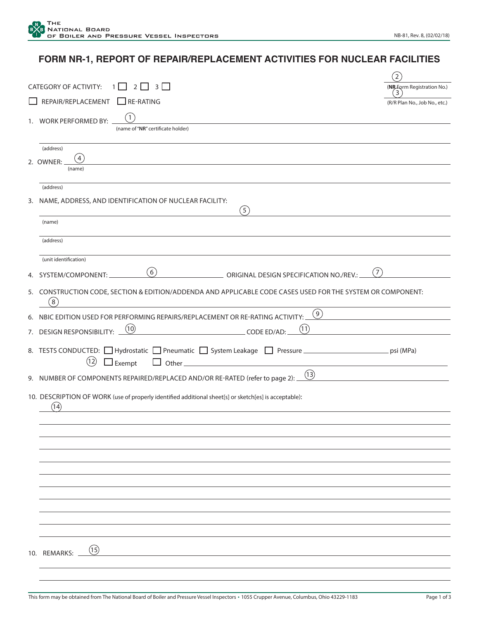## **FORM NR-1, REPORT OF REPAIR/REPLACEMENT ACTIVITIES FOR NUCLEAR FACILITIES**

|    |                                                                                                                      | $\overline{2}$                  |
|----|----------------------------------------------------------------------------------------------------------------------|---------------------------------|
|    | <b>CATEGORY OF ACTIVITY:</b><br>2<br>3 <sup>1</sup><br>1                                                             | (NR-Form Registration No.)<br>3 |
|    | REPAIR/REPLACEMENT<br>$\Box$ RE-RATING                                                                               | (R/R Plan No., Job No., etc.)   |
|    | 1<br>1. WORK PERFORMED BY:                                                                                           |                                 |
|    | (name of "NR" certificate holder)                                                                                    |                                 |
|    | (address)                                                                                                            |                                 |
|    | 4<br>2. OWNER:<br>(name)                                                                                             |                                 |
|    |                                                                                                                      |                                 |
|    | (address)<br>3. NAME, ADDRESS, AND IDENTIFICATION OF NUCLEAR FACILITY:                                               |                                 |
|    | (5)                                                                                                                  |                                 |
|    | (name)                                                                                                               |                                 |
|    | (address)                                                                                                            |                                 |
|    | (unit identification)                                                                                                |                                 |
|    | (6)<br>(7)<br>ORIGINAL DESIGN SPECIFICATION NO./REV.:                                                                |                                 |
|    | 4. SYSTEM/COMPONENT:                                                                                                 |                                 |
|    | 5. CONSTRUCTION CODE, SECTION & EDITION/ADDENDA AND APPLICABLE CODE CASES USED FOR THE SYSTEM OR COMPONENT:<br>8     |                                 |
| 6. | (9)<br>NBIC EDITION USED FOR PERFORMING REPAIRS/REPLACEMENT OR RE-RATING ACTIVITY:                                   |                                 |
|    | (10)<br>(11)<br>7. DESIGN RESPONSIBILITY:<br>CODE ED/AD:                                                             |                                 |
|    | 8. TESTS CONDUCTED: □ Hydrostatic □ Pneumatic □ System Leakage □ Pressure _<br>(12)<br>$\Box$ Exempt<br>$\Box$ Other | psi (MPa)                       |
|    | (13)<br>9. NUMBER OF COMPONENTS REPAIRED/REPLACED AND/OR RE-RATED (refer to page 2): _                               |                                 |
|    |                                                                                                                      |                                 |
|    | 10. DESCRIPTION OF WORK (use of properly identified additional sheet[s] or sketch[es] is acceptable):<br>(14)        |                                 |
|    |                                                                                                                      |                                 |
|    |                                                                                                                      |                                 |
|    |                                                                                                                      |                                 |
|    |                                                                                                                      |                                 |
|    |                                                                                                                      |                                 |
|    |                                                                                                                      |                                 |
|    |                                                                                                                      |                                 |
|    |                                                                                                                      |                                 |
|    |                                                                                                                      |                                 |
|    | (15)<br>10. REMARKS: _                                                                                               |                                 |
|    |                                                                                                                      |                                 |
|    |                                                                                                                      |                                 |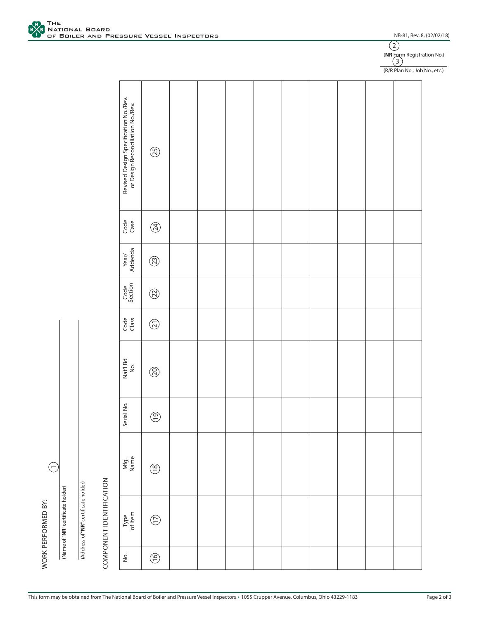THE

I <sup>TH</sup> THE BOARD<br>OF BOILER AND PRESSURE VESSEL INSPECTORS

| į                       |  |
|-------------------------|--|
|                         |  |
|                         |  |
|                         |  |
| i                       |  |
|                         |  |
|                         |  |
| 7                       |  |
|                         |  |
| ı                       |  |
|                         |  |
| ī                       |  |
|                         |  |
|                         |  |
|                         |  |
| ī                       |  |
|                         |  |
| $\overline{\mathbf{r}}$ |  |
| ľ                       |  |

|                                                                  |                                                                            |                                                                                |  |  |  |  | (R/R Plan No., Job No., etc.) |
|------------------------------------------------------------------|----------------------------------------------------------------------------|--------------------------------------------------------------------------------|--|--|--|--|-------------------------------|
|                                                                  | Revised Design Specification No./Rev.<br>or Design Reconciliation No./Rev. | $\circledS$                                                                    |  |  |  |  |                               |
|                                                                  | Code<br>Case                                                               | $\begin{pmatrix} \overline{A} \\ B \end{pmatrix}$                              |  |  |  |  |                               |
|                                                                  | Year/<br>Addenda                                                           | $\begin{pmatrix} 2 \\ 3 \end{pmatrix}$                                         |  |  |  |  |                               |
|                                                                  | Code<br>Section                                                            | $\circledR$                                                                    |  |  |  |  |                               |
|                                                                  | Code<br>Class                                                              | $\begin{pmatrix} \overline{\mathbf{c}} \\ \overline{\mathbf{c}} \end{pmatrix}$ |  |  |  |  |                               |
|                                                                  | Nat'l Bd<br>No.                                                            | $\circledS$                                                                    |  |  |  |  |                               |
|                                                                  | Serial No.                                                                 | $\circledS$                                                                    |  |  |  |  |                               |
|                                                                  | Mfg.<br>Name                                                               | $\circledS$                                                                    |  |  |  |  |                               |
| COMPONENT IDENTIFICATION<br>(Address of "NR" certificate holder) | Type<br>of Item                                                            | $\bigodot$                                                                     |  |  |  |  |                               |
|                                                                  | $\dot{\Xi}$                                                                | $\circlede$                                                                    |  |  |  |  |                               |